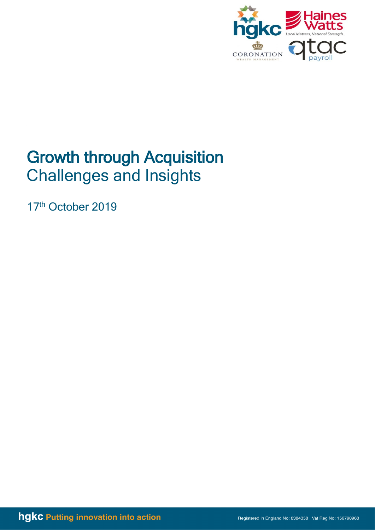

# Growth through Acquisition Challenges and Insights

17<sup>th</sup> October 2019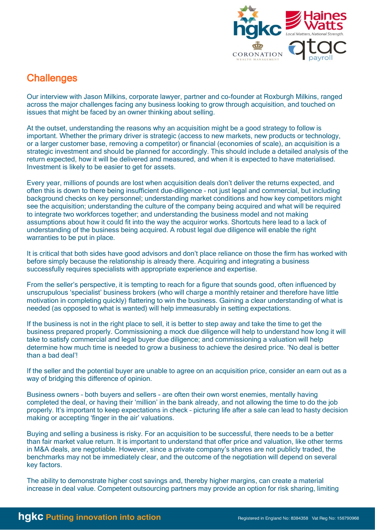

# **Challenges**

Our interview with Jason Milkins, corporate lawyer, partner and co-founder at Roxburgh Milkins, ranged across the major challenges facing any business looking to grow through acquisition, and touched on issues that might be faced by an owner thinking about selling.

At the outset, understanding the reasons why an acquisition might be a good strategy to follow is important. Whether the primary driver is strategic (access to new markets, new products or technology, or a larger customer base, removing a competitor) or financial (economies of scale), an acquisition is a strategic investment and should be planned for accordingly. This should include a detailed analysis of the return expected, how it will be delivered and measured, and when it is expected to have materialised. Investment is likely to be easier to get for assets.

Every year, millions of pounds are lost when acquisition deals don't deliver the returns expected, and often this is down to there being insufficient due-diligence – not just legal and commercial, but including background checks on key personnel; understanding market conditions and how key competitors might see the acquisition; understanding the culture of the company being acquired and what will be required to integrate two workforces together; and understanding the business model and not making assumptions about how it could fit into the way the acquiror works. Shortcuts here lead to a lack of understanding of the business being acquired. A robust legal due diligence will enable the right warranties to be put in place.

It is critical that both sides have good advisors and don't place reliance on those the firm has worked with before simply because the relationship is already there. Acquiring and integrating a business successfully requires specialists with appropriate experience and expertise.

From the seller's perspective, it is tempting to reach for a figure that sounds good, often influenced by unscrupulous 'specialist' business brokers (who will charge a monthly retainer and therefore have little motivation in completing quickly) flattering to win the business. Gaining a clear understanding of what is needed (as opposed to what is wanted) will help immeasurably in setting expectations.

If the business is not in the right place to sell, it is better to step away and take the time to get the business prepared properly. Commissioning a mock due diligence will help to understand how long it will take to satisfy commercial and legal buyer due diligence; and commissioning a valuation will help determine how much time is needed to grow a business to achieve the desired price. 'No deal is better than a bad deal'!

If the seller and the potential buyer are unable to agree on an acquisition price, consider an earn out as a way of bridging this difference of opinion.

Business owners – both buyers and sellers - are often their own worst enemies, mentally having completed the deal, or having their 'million' in the bank already, and not allowing the time to do the job properly. It's important to keep expectations in check – picturing life after a sale can lead to hasty decision making or accepting 'finger in the air' valuations.

Buying and selling a business is risky. For an acquisition to be successful, there needs to be a better than fair market value return. It is important to understand that offer price and valuation, like other terms in M&A deals, are negotiable. However, since a private company's shares are not publicly traded, the benchmarks may not be immediately clear, and the outcome of the negotiation will depend on several key factors.

The ability to demonstrate higher cost savings and, thereby higher margins, can create a material increase in deal value. Competent outsourcing partners may provide an option for risk sharing, limiting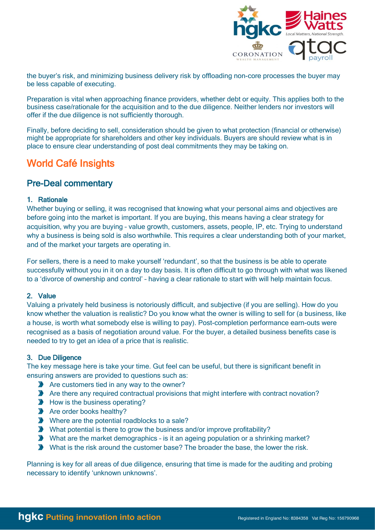

the buyer's risk, and minimizing business delivery risk by offloading non-core processes the buyer may be less capable of executing.

Preparation is vital when approaching finance providers, whether debt or equity. This applies both to the business case/rationale for the acquisition and to the due diligence. Neither lenders nor investors will offer if the due diligence is not sufficiently thorough.

Finally, before deciding to sell, consideration should be given to what protection (financial or otherwise) might be appropriate for shareholders and other key individuals. Buyers are should review what is in place to ensure clear understanding of post deal commitments they may be taking on.

# World Café Insights

# Pre-Deal commentary

## 1. Rationale

Whether buying or selling, it was recognised that knowing what your personal aims and objectives are before going into the market is important. If you are buying, this means having a clear strategy for acquisition, why you are buying – value growth, customers, assets, people, IP, etc. Trying to understand why a business is being sold is also worthwhile. This requires a clear understanding both of your market, and of the market your targets are operating in.

For sellers, there is a need to make yourself 'redundant', so that the business is be able to operate successfully without you in it on a day to day basis. It is often difficult to go through with what was likened to a 'divorce of ownership and control' – having a clear rationale to start with will help maintain focus.

## 2. Value

Valuing a privately held business is notoriously difficult, and subjective (if you are selling). How do you know whether the valuation is realistic? Do you know what the owner is willing to sell for (a business, like a house, is worth what somebody else is willing to pay). Post-completion performance earn-outs were recognised as a basis of negotiation around value. For the buyer, a detailed business benefits case is needed to try to get an idea of a price that is realistic.

# 3. Due Diligence

The key message here is take your time. Gut feel can be useful, but there is significant benefit in ensuring answers are provided to questions such as:

- Are customers tied in any way to the owner?
- Are there any required contractual provisions that might interfere with contract novation?
- $\blacktriangleright$  How is the business operating?
- Are order books healthy?
- Where are the potential roadblocks to a sale?
- ◆ What potential is there to grow the business and/or improve profitability?
- ◆ What are the market demographics is it an ageing population or a shrinking market?
- What is the risk around the customer base? The broader the base, the lower the risk.

Planning is key for all areas of due diligence, ensuring that time is made for the auditing and probing necessary to identify 'unknown unknowns'.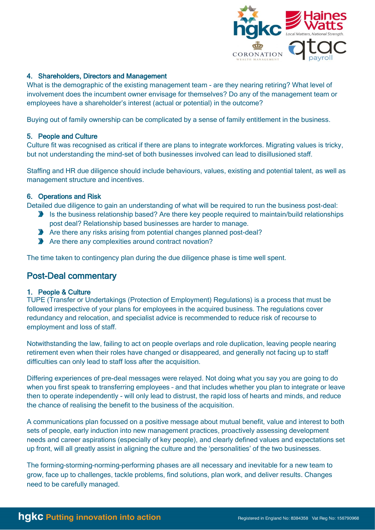

## 4. Shareholders, Directors and Management

What is the demographic of the existing management team - are they nearing retiring? What level of involvement does the incumbent owner envisage for themselves? Do any of the management team or employees have a shareholder's interest (actual or potential) in the outcome?

Buying out of family ownership can be complicated by a sense of family entitlement in the business.

## 5. People and Culture

Culture fit was recognised as critical if there are plans to integrate workforces. Migrating values is tricky, but not understanding the mind-set of both businesses involved can lead to disillusioned staff.

Staffing and HR due diligence should include behaviours, values, existing and potential talent, as well as management structure and incentives.

## 6. Operations and Risk

Detailed due diligence to gain an understanding of what will be required to run the business post-deal:

- Is the business relationship based? Are there key people required to maintain/build relationships post deal? Relationship based businesses are harder to manage.
- Are there any risks arising from potential changes planned post-deal?
- Are there any complexities around contract novation?

The time taken to contingency plan during the due diligence phase is time well spent.

# Post-Deal commentary

## 1. People & Culture

TUPE (Transfer or Undertakings (Protection of Employment) Regulations) is a process that must be followed irrespective of your plans for employees in the acquired business. The regulations cover redundancy and relocation, and specialist advice is recommended to reduce risk of recourse to employment and loss of staff.

Notwithstanding the law, failing to act on people overlaps and role duplication, leaving people nearing retirement even when their roles have changed or disappeared, and generally not facing up to staff difficulties can only lead to staff loss after the acquisition.

Differing experiences of pre-deal messages were relayed. Not doing what you say you are going to do when you first speak to transferring employees - and that includes whether you plan to integrate or leave then to operate independently - will only lead to distrust, the rapid loss of hearts and minds, and reduce the chance of realising the benefit to the business of the acquisition.

A communications plan focussed on a positive message about mutual benefit, value and interest to both sets of people, early induction into new management practices, proactively assessing development needs and career aspirations (especially of key people), and clearly defined values and expectations set up front, will all greatly assist in aligning the culture and the 'personalities' of the two businesses.

The forming–storming–norming–performing phases are all necessary and inevitable for a new team to grow, face up to challenges, tackle problems, find solutions, plan work, and deliver results. Changes need to be carefully managed.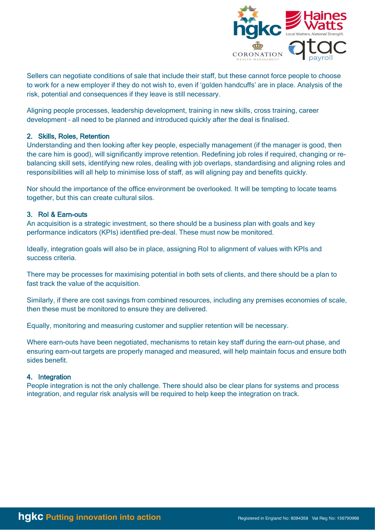

Sellers can negotiate conditions of sale that include their staff, but these cannot force people to choose to work for a new employer if they do not wish to, even if 'golden handcuffs' are in place. Analysis of the risk, potential and consequences if they leave is still necessary.

Aligning people processes, leadership development, training in new skills, cross training, career development – all need to be planned and introduced quickly after the deal is finalised.

#### 2. Skills, Roles, Retention

Understanding and then looking after key people, especially management (if the manager is good, then the care him is good), will significantly improve retention. Redefining job roles if required, changing or rebalancing skill sets, identifying new roles, dealing with job overlaps, standardising and aligning roles and responsibilities will all help to minimise loss of staff, as will aligning pay and benefits quickly.

Nor should the importance of the office environment be overlooked. It will be tempting to locate teams together, but this can create cultural silos.

#### 3. RoI & Earn-outs

An acquisition is a strategic investment, so there should be a business plan with goals and key performance indicators (KPIs) identified pre-deal. These must now be monitored.

Ideally, integration goals will also be in place, assigning RoI to alignment of values with KPIs and success criteria.

There may be processes for maximising potential in both sets of clients, and there should be a plan to fast track the value of the acquisition.

Similarly, if there are cost savings from combined resources, including any premises economies of scale, then these must be monitored to ensure they are delivered.

Equally, monitoring and measuring customer and supplier retention will be necessary.

Where earn-outs have been negotiated, mechanisms to retain key staff during the earn-out phase, and ensuring earn-out targets are properly managed and measured, will help maintain focus and ensure both sides benefit.

#### 4. Integration

People integration is not the only challenge. There should also be clear plans for systems and process integration, and regular risk analysis will be required to help keep the integration on track.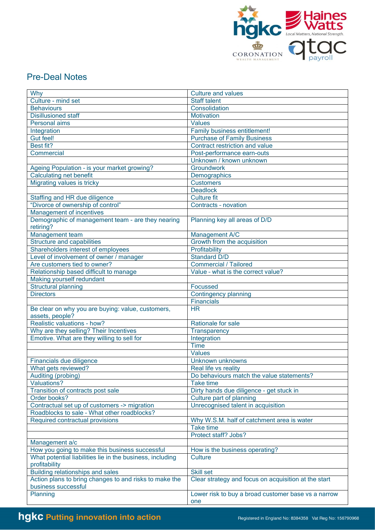

# Pre-Deal Notes

| Why                                                                                                         | <b>Culture and values</b>                                  |
|-------------------------------------------------------------------------------------------------------------|------------------------------------------------------------|
|                                                                                                             | Staff talent                                               |
| Culture - mind set                                                                                          |                                                            |
| <b>Behaviours</b><br><b>Disillusioned staff</b>                                                             | Consolidation<br><b>Motivation</b>                         |
|                                                                                                             |                                                            |
| Personal aims                                                                                               | <b>Values</b>                                              |
| Integration                                                                                                 | Family business entitlement!                               |
| <b>Gut feel!</b>                                                                                            | <b>Purchase of Family Business</b>                         |
| Best fit?                                                                                                   | Contract restriction and value                             |
| Commercial                                                                                                  | Post-performance earn-outs                                 |
|                                                                                                             | Unknown / known unknown                                    |
| Ageing Population - is your market growing?                                                                 | Groundwork                                                 |
| <b>Calculating net benefit</b>                                                                              | Demographics                                               |
| Migrating values is tricky                                                                                  | <b>Customers</b>                                           |
|                                                                                                             | <b>Deadlock</b>                                            |
| Staffing and HR due diligence                                                                               | <b>Culture fit</b>                                         |
| "Divorce of ownership of control"                                                                           | Contracts - novation                                       |
| Management of incentives                                                                                    |                                                            |
| Demographic of management team - are they nearing<br>retiring?                                              | Planning key all areas of D/D                              |
| Management team                                                                                             | Management A/C                                             |
| <b>Structure and capabilities</b>                                                                           | Growth from the acquisition                                |
| Shareholders interest of employees                                                                          | Profitability                                              |
|                                                                                                             | <b>Standard D/D</b>                                        |
| Level of involvement of owner / manager                                                                     | <b>Commercial / Tailored</b>                               |
| Are customers tied to owner?                                                                                |                                                            |
| Relationship based difficult to manage                                                                      | Value - what is the correct value?                         |
| Making yourself redundant                                                                                   |                                                            |
| Structural planning                                                                                         | Focussed                                                   |
| <b>Directors</b>                                                                                            | <b>Contingency planning</b>                                |
|                                                                                                             | <b>Financials</b>                                          |
| Be clear on why you are buying: value, customers,<br>assets, people?                                        | <b>HR</b>                                                  |
| Realistic valuations - how?                                                                                 | Rationale for sale                                         |
| Why are they selling? Their Incentives                                                                      | <b>Transparency</b>                                        |
| Emotive. What are they willing to sell for                                                                  | Integration                                                |
|                                                                                                             | <b>Time</b>                                                |
|                                                                                                             | <b>Values</b>                                              |
| Financials due diligence                                                                                    | <b>Unknown unknowns</b>                                    |
| What gets reviewed?                                                                                         | Real life vs reality                                       |
| Auditing (probing)                                                                                          | Do behaviours match the value statements?                  |
| <b>Valuations?</b>                                                                                          | <b>Take time</b>                                           |
| Transition of contracts post sale                                                                           | Dirty hands due diligence - get stuck in                   |
| Order books?                                                                                                | Culture part of planning                                   |
| Contractual set up of customers -> migration                                                                | Unrecognised talent in acquisition                         |
| Roadblocks to sale - What other roadblocks?                                                                 |                                                            |
| Required contractual provisions                                                                             | Why W.S.M. half of catchment area is water                 |
|                                                                                                             | <b>Take time</b>                                           |
|                                                                                                             | Protect staff? Jobs?                                       |
|                                                                                                             |                                                            |
| Management a/c                                                                                              |                                                            |
| How you going to make this business successful<br>What potential liabilities lie in the business, including | How is the business operating?<br><b>Culture</b>           |
| profitability                                                                                               |                                                            |
| Building relationships and sales                                                                            | <b>Skill set</b>                                           |
| Action plans to bring changes to and risks to make the                                                      | Clear strategy and focus on acquisition at the start       |
| business successful                                                                                         |                                                            |
| Planning                                                                                                    | Lower risk to buy a broad customer base vs a narrow<br>one |
|                                                                                                             |                                                            |

# hgkc Putting innovation into action